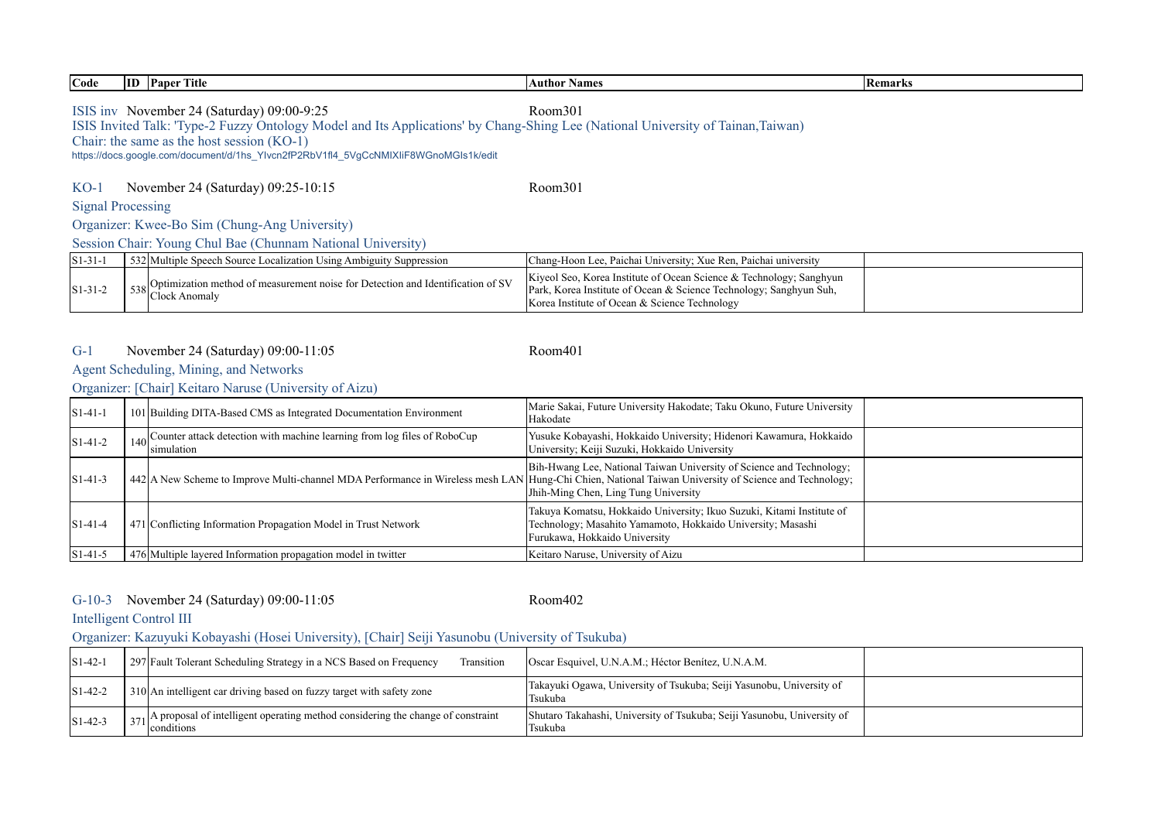| Code        | <b>ID</b> Paper Title                                                                                                                                                                                                                     | <b>Author Names</b>                                             | <b>Remarks</b> |  |  |  |  |
|-------------|-------------------------------------------------------------------------------------------------------------------------------------------------------------------------------------------------------------------------------------------|-----------------------------------------------------------------|----------------|--|--|--|--|
|             | ISIS inv November 24 (Saturday) 09:00-9:25<br>Room301<br>ISIS Invited Talk: 'Type-2 Fuzzy Ontology Model and Its Applications' by Chang-Shing Lee (National University of Tainan, Taiwan)<br>Chair: the same as the host session $(KO-1)$ |                                                                 |                |  |  |  |  |
|             | https://docs.google.com/document/d/1hs Ylvcn2fP2RbV1fl4 5VgCcNMIXIiF8WGnoMGIs1k/edit                                                                                                                                                      |                                                                 |                |  |  |  |  |
| $KO-1$      | November 24 (Saturday) 09:25-10:15                                                                                                                                                                                                        | Room301                                                         |                |  |  |  |  |
|             | <b>Signal Processing</b>                                                                                                                                                                                                                  |                                                                 |                |  |  |  |  |
|             | Organizer: Kwee-Bo Sim (Chung-Ang University)                                                                                                                                                                                             |                                                                 |                |  |  |  |  |
|             | Session Chair: Young Chul Bae (Chunnam National University)                                                                                                                                                                               |                                                                 |                |  |  |  |  |
| $ S1-31-1 $ | 532 Multiple Speech Source Localization Using Ambiguity Suppression                                                                                                                                                                       | Chang-Hoon Lee, Paichai University; Xue Ren, Paichai university |                |  |  |  |  |

| $ S1-31-$  | 532 Multiple Speech Source Localization Using Ambiguity Suppression                                              | Chang-Hoon Lee, Paichai University; Xue Ren, Paichai university                                                                                                                            |  |
|------------|------------------------------------------------------------------------------------------------------------------|--------------------------------------------------------------------------------------------------------------------------------------------------------------------------------------------|--|
| $ S1-31-2$ | $\left[\right.538\left \right]$ Coptimization method of measurement noise for Detection and Identification of SV | Kiyeol Seo, Korea Institute of Ocean Science & Technology; Sanghyun<br>Park, Korea Institute of Ocean & Science Technology; Sanghyun Suh,<br>Korea Institute of Ocean & Science Technology |  |

#### G-1 Room401 November 24 (Saturday) 09:00-11:05

# Agent Scheduling, Mining, and Networks

Organizer: [Chair] Keitaro Naruse (University of Aizu)

| $ S1-41-1 $      | 101 Building DITA-Based CMS as Integrated Documentation Environment                                                                                  | Marie Sakai, Future University Hakodate; Taku Okuno, Future University<br>Hakodate                                                                                    |  |
|------------------|------------------------------------------------------------------------------------------------------------------------------------------------------|-----------------------------------------------------------------------------------------------------------------------------------------------------------------------|--|
| $\sqrt{S1-41-2}$ | 140 Counter attack detection with machine learning from log files of RoboCup<br>simulation                                                           | Yusuke Kobayashi, Hokkaido University; Hidenori Kawamura, Hokkaido<br>University; Keiji Suzuki, Hokkaido University                                                   |  |
| $\sqrt{S1-41-3}$ | 442 A New Scheme to Improve Multi-channel MDA Performance in Wireless mesh LAN Hung-Chi Chien, National Taiwan University of Science and Technology; | Bih-Hwang Lee, National Taiwan University of Science and Technology;<br>Jhih-Ming Chen, Ling Tung University                                                          |  |
| $\sqrt{S1-41-4}$ | 471 Conflicting Information Propagation Model in Trust Network                                                                                       | Takuya Komatsu, Hokkaido University; Ikuo Suzuki, Kitami Institute of<br>Technology; Masahito Yamamoto, Hokkaido University; Masashi<br>Furukawa, Hokkaido University |  |
| $S1-41-5$        | 476 Multiple layered Information propagation model in twitter                                                                                        | Keitaro Naruse, University of Aizu                                                                                                                                    |  |

## G-10-3 Room402 November 24 (Saturday) 09:00-11:05

# Intelligent Control III

Organizer: Kazuyuki Kobayashi (Hosei University), [Chair] Seiji Yasunobu (University of Tsukuba)

| $S1-42-1$            | 297 Fault Tolerant Scheduling Strategy in a NCS Based on Frequency<br>Transition                              | Oscar Esquivel, U.N.A.M.; Héctor Benítez, U.N.A.M.                                 |  |
|----------------------|---------------------------------------------------------------------------------------------------------------|------------------------------------------------------------------------------------|--|
| $\text{S}1 - 42 - 2$ | 310 An intelligent car driving based on fuzzy target with safety zone                                         | Takayuki Ogawa, University of Tsukuba; Seiji Yasunobu, University of<br>Tsukuba    |  |
| $S1-42-3$            | $\frac{1}{371}$ A proposal of intelligent operating method considering the change of constraint<br>conditions | Shutaro Takahashi, University of Tsukuba; Seiji Yasunobu, University of<br>Tsukuba |  |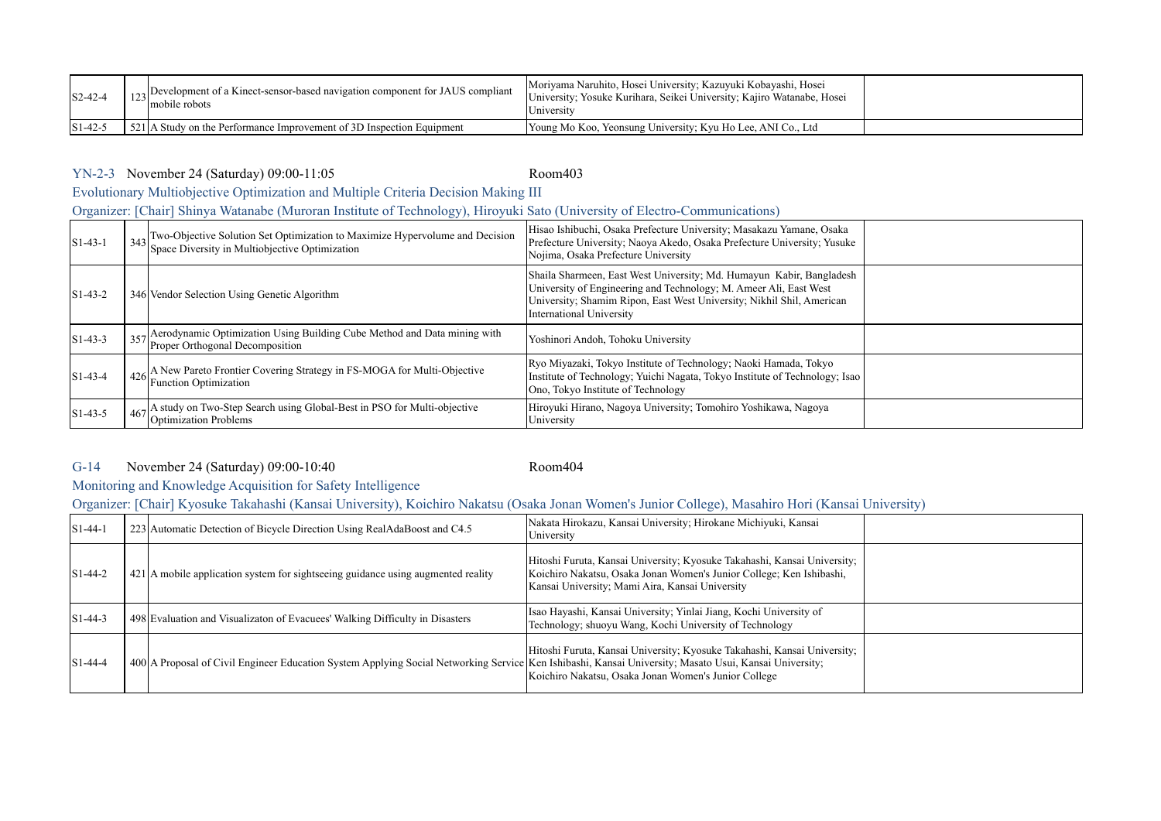| $ S2-42-4$        | sextlopment of a Kinect-sensor-based navigation component for JAUS compliant<br>mobile robots | Moriyama Naruhito, Hosei University; Kazuyuki Kobayashi, Hosei<br>University, Yosuke Kurihara, Seikei University, Kajiro Watanabe, Hosei<br>Jniversity |  |
|-------------------|-----------------------------------------------------------------------------------------------|--------------------------------------------------------------------------------------------------------------------------------------------------------|--|
| $ S1-42-3\rangle$ | $521$ A Study on the Performance Improvement of 3D Inspection Equipment                       | Young Mo Koo, Yeonsung University; Kyu Ho Lee, ANI Co., Ltd                                                                                            |  |

## YN-2-3 Room403 November 24 (Saturday) 09:00-11:05

Evolutionary Multiobjective Optimization and Multiple Criteria Decision Making III

Organizer: [Chair] Shinya Watanabe (Muroran Institute of Technology), Hiroyuki Sato (University of Electro-Communications)

| $S1-43-1$   | $\frac{1}{3}$ Two-Objective Solution Set Optimization to Maximize Hypervolume and Decision<br>Space Diversity in Multiobjective Optimization | Hisao Ishibuchi, Osaka Prefecture University; Masakazu Yamane, Osaka<br>Prefecture University; Naoya Akedo, Osaka Prefecture University; Yusuke<br>Nojima, Osaka Prefecture University                                                         |  |
|-------------|----------------------------------------------------------------------------------------------------------------------------------------------|------------------------------------------------------------------------------------------------------------------------------------------------------------------------------------------------------------------------------------------------|--|
| $ S1-43-2 $ | 346 Vendor Selection Using Genetic Algorithm                                                                                                 | Shaila Sharmeen, East West University; Md. Humayun Kabir, Bangladesh<br>University of Engineering and Technology; M. Ameer Ali, East West<br>University; Shamim Ripon, East West University; Nikhil Shil, American<br>International University |  |
| $ S1-43-3 $ | 357 Aerodynamic Optimization Using Building Cube Method and Data mining with<br>Proper Orthogonal Decomposition                              | Yoshinori Andoh, Tohoku University                                                                                                                                                                                                             |  |
| $S1-43-4$   | 426 A New Pareto Frontier Covering Strategy in FS-MOGA for Multi-Objective<br>Function Optimization                                          | Ryo Miyazaki, Tokyo Institute of Technology; Naoki Hamada, Tokyo<br>Institute of Technology; Yuichi Nagata, Tokyo Institute of Technology; Isao<br>Ono, Tokyo Institute of Technology                                                          |  |
| $ S1-43-5 $ | 467 A study on Two-Step Search using Global-Best in PSO for Multi-objective<br><b>Optimization Problems</b>                                  | Hiroyuki Hirano, Nagoya University; Tomohiro Yoshikawa, Nagoya<br>University                                                                                                                                                                   |  |

### G-14 Room404 November 24 (Saturday) 09:00-10:40

# Monitoring and Knowledge Acquisition for Safety Intelligence

Organizer: [Chair] Kyosuke Takahashi (Kansai University), Koichiro Nakatsu (Osaka Jonan Women's Junior College), Masahiro Hori (Kansai University)

| $ S1-44-1 $          | 223 Automatic Detection of Bicycle Direction Using RealAdaBoost and C4.5                                                                               | Nakata Hirokazu, Kansai University; Hirokane Michiyuki, Kansai<br>University                                                                                                                        |  |
|----------------------|--------------------------------------------------------------------------------------------------------------------------------------------------------|-----------------------------------------------------------------------------------------------------------------------------------------------------------------------------------------------------|--|
| $\text{S}1 - 44 - 2$ | 421 A mobile application system for sightseeing guidance using augmented reality                                                                       | Hitoshi Furuta, Kansai University; Kyosuke Takahashi, Kansai University;<br>Koichiro Nakatsu, Osaka Jonan Women's Junior College; Ken Ishibashi,<br>Kansai University; Mami Aira, Kansai University |  |
| $ S1-44-3 $          | 498 Evaluation and Visualizaton of Evacuees' Walking Difficulty in Disasters                                                                           | Isao Hayashi, Kansai University, Yinlai Jiang, Kochi University of<br>Technology; shuoyu Wang, Kochi University of Technology                                                                       |  |
| $S1-44-4$            | 400 A Proposal of Civil Engineer Education System Applying Social Networking Service Ken Ishibashi, Kansai University; Masato Usui, Kansai University; | Hitoshi Furuta, Kansai University; Kyosuke Takahashi, Kansai University;<br>Koichiro Nakatsu, Osaka Jonan Women's Junior College                                                                    |  |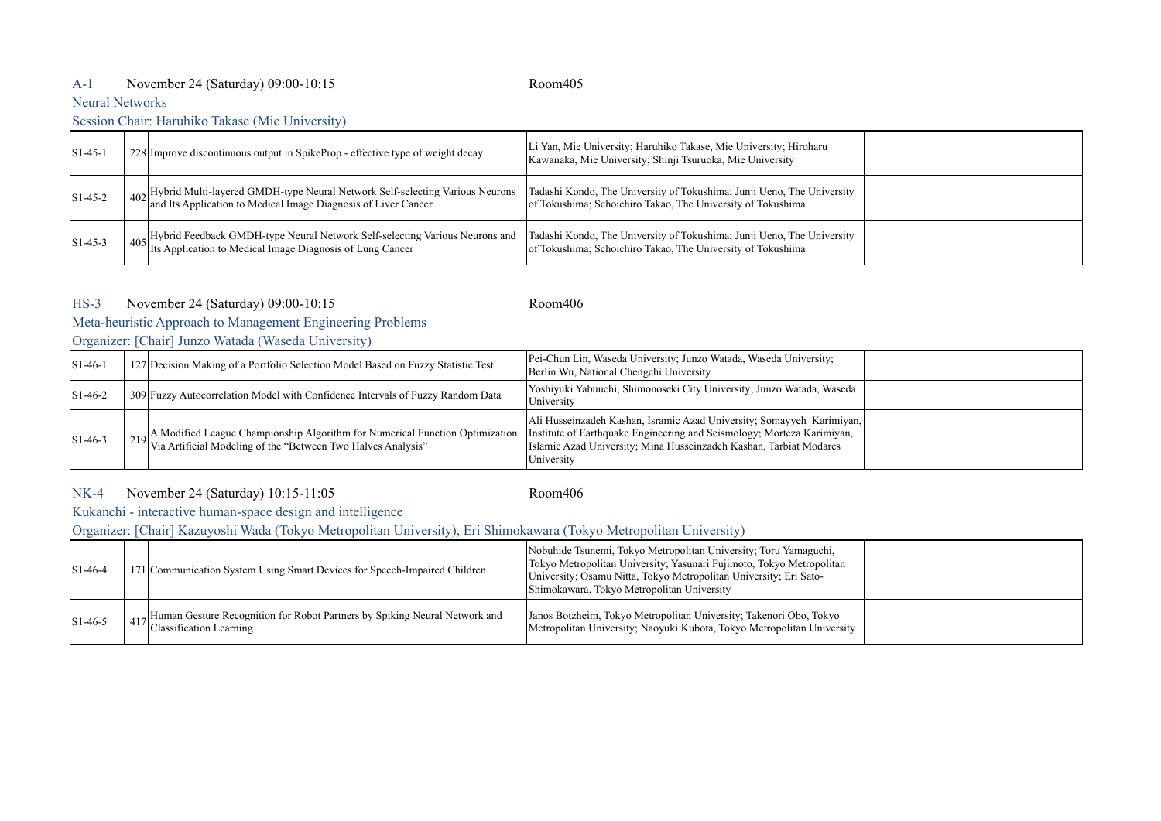## A-1 Room405 November 24 (Saturday) 09:00-10:15

## Neural Networks

#### Session Chair: Haruhiko Takase (Mie University)

| $[S1-45-1]$          | 228 Improve discontinuous output in SpikeProp - effective type of weight decay                                                                                  | Li Yan, Mie University; Haruhiko Takase, Mie University; Hiroharu<br>Kawanaka, Mie University; Shinji Tsuruoka, Mie University        |  |
|----------------------|-----------------------------------------------------------------------------------------------------------------------------------------------------------------|---------------------------------------------------------------------------------------------------------------------------------------|--|
| $ S1-45-2 $          | <sup>1</sup> 402 Hybrid Multi-layered GMDH-type Neural Network Self-selecting Various Neurons<br>and Its Application to Medical Image Diagnosis of Liver Cancer | Tadashi Kondo, The University of Tokushima; Junji Ueno, The University<br>of Tokushima; Schoichiro Takao, The University of Tokushima |  |
| $\text{S}1 - 45 - 3$ | 405 Hybrid Feedback GMDH-type Neural Network Self-selecting Various Neurons and Its Application to Medical Image Diagnosis of Lung Cancer                       | Tadashi Kondo, The University of Tokushima; Junji Ueno, The University<br>of Tokushima; Schoichiro Takao, The University of Tokushima |  |

#### HS-3 Room406 November 24 (Saturday) 09:00-10:15

# Meta-heuristic Approach to Management Engineering Problems

Organizer: [Chair] Junzo Watada (Waseda University)

| $\left[ \text{S1-46-} \right]$ | 127 Decision Making of a Portfolio Selection Model Based on Fuzzy Statistic Test                                                                                                                                                     | Pei-Chun Lin, Waseda University; Junzo Watada, Waseda University;<br>Berlin Wu, National Chengchi University                                              |  |
|--------------------------------|--------------------------------------------------------------------------------------------------------------------------------------------------------------------------------------------------------------------------------------|-----------------------------------------------------------------------------------------------------------------------------------------------------------|--|
| $\text{S}1 - 46 - 2$           | 309 Fuzzy Autocorrelation Model with Confidence Intervals of Fuzzy Random Data                                                                                                                                                       | Yoshiyuki Yabuuchi, Shimonoseki City University; Junzo Watada, Waseda<br>University                                                                       |  |
| $\text{S}1 - 46 - 3$           | <sub>219</sub> A Modified League Championship Algorithm for Numerical Function Optimization   Institute of Earthquake Engineering and Seismology; Morteza Karimiyan,<br>Via Artificial Modeling of the "Between Two Halves Analysis" | Ali Husseinzadeh Kashan, Isramic Azad University; Somayyeh Karimiyan,<br>Islamic Azad University; Mina Husseinzadeh Kashan, Tarbiat Modares<br>University |  |

#### NK-4 Room406 November 24 (Saturday) 10:15-11:05

Kukanchi - interactive human-space design and intelligence

Organizer: [Chair] Kazuyoshi Wada (Tokyo Metropolitan University), Eri Shimokawara (Tokyo Metropolitan University)

| $\frac{1}{1}$ S <sub>1</sub> -46-4 | 171 Communication System Using Smart Devices for Speech-Impaired Children                             | Nobuhide Tsunemi, Tokyo Metropolitan University; Toru Yamaguchi,<br>Tokyo Metropolitan University; Yasunari Fujimoto, Tokyo Metropolitan<br>University; Osamu Nitta, Tokyo Metropolitan University; Eri Sato-<br>Shimokawara, Tokyo Metropolitan University |  |
|------------------------------------|-------------------------------------------------------------------------------------------------------|-------------------------------------------------------------------------------------------------------------------------------------------------------------------------------------------------------------------------------------------------------------|--|
| $\text{S}1 - 46 - 5$               | Human Gesture Recognition for Robot Partners by Spiking Neural Network and<br>Classification Learning | Janos Botzheim, Tokyo Metropolitan University; Takenori Obo, Tokyo<br>Metropolitan University; Naoyuki Kubota, Tokyo Metropolitan University                                                                                                                |  |